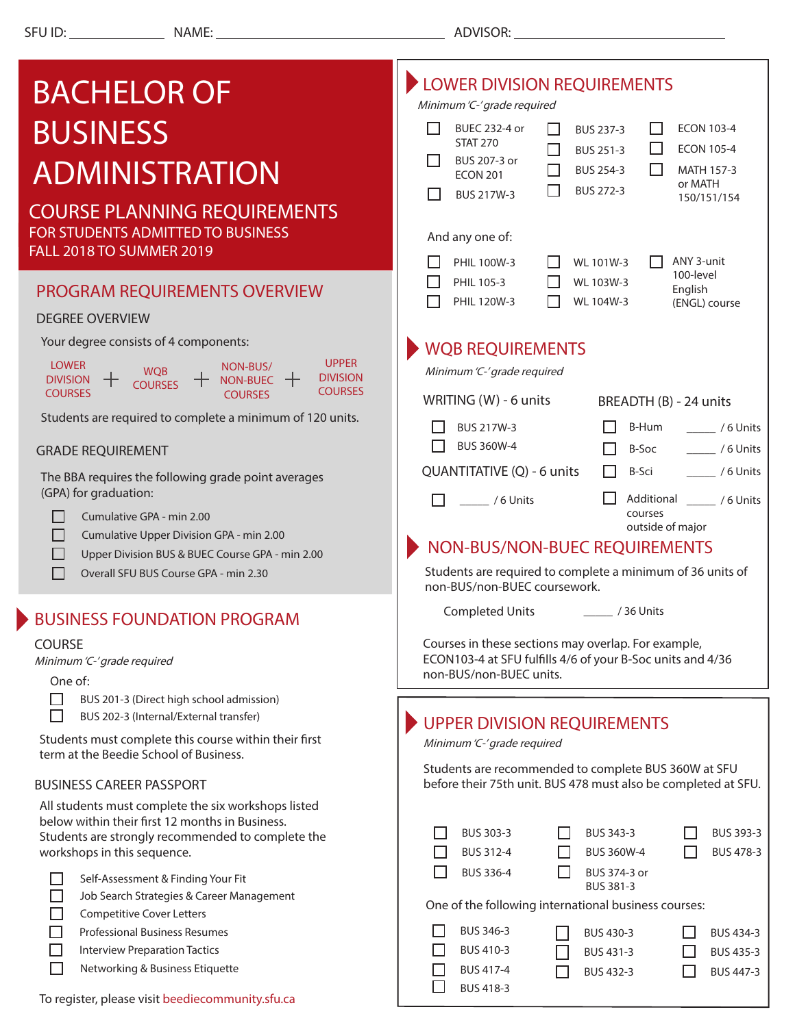| <b>BACHELOR OF</b>                                                                                                         | LOWER DIVISION REQUIREMENTS<br>Minimum 'C-' grade required                                                                                   |  |  |  |  |  |
|----------------------------------------------------------------------------------------------------------------------------|----------------------------------------------------------------------------------------------------------------------------------------------|--|--|--|--|--|
| <b>BUSINESS</b>                                                                                                            | <b>ECON 103-4</b><br>BUEC 232-4 or<br>BUS 237-3<br>H<br><b>STAT 270</b><br><b>ECON 105-4</b><br>BUS 251-3<br>H<br>- 1                        |  |  |  |  |  |
| <b>ADMINISTRATION</b>                                                                                                      | BUS 207-3 or<br>BUS 254-3<br><b>MATH 157-3</b><br><b>ECON 201</b><br>or MATH<br>BUS 272-3<br><b>BUS 217W-3</b>                               |  |  |  |  |  |
| <b>COURSE PLANNING REQUIREMENTS</b><br>FOR STUDENTS ADMITTED TO BUSINESS                                                   | 150/151/154                                                                                                                                  |  |  |  |  |  |
| FALL 2018 TO SUMMER 2019                                                                                                   | And any one of:<br>ANY 3-unit                                                                                                                |  |  |  |  |  |
|                                                                                                                            | PHIL 100W-3<br>WL 101W-3<br>100-level<br>PHIL 105-3<br>WL 103W-3                                                                             |  |  |  |  |  |
| PROGRAM REQUIREMENTS OVERVIEW<br><b>DEGREE OVERVIEW</b>                                                                    | English<br>PHIL 120W-3<br>WL 104W-3<br>(ENGL) course                                                                                         |  |  |  |  |  |
| Your degree consists of 4 components:                                                                                      |                                                                                                                                              |  |  |  |  |  |
| <b>UPPER</b><br><b>LOWER</b><br>NON-BUS/<br><b>WOB</b>                                                                     | <b>WQB REQUIREMENTS</b><br>Minimum 'C-' grade required                                                                                       |  |  |  |  |  |
| <b>DIVISION</b><br><b>DIVISION</b><br>NON-BUEC $+$<br><b>COURSES</b><br><b>COURSES</b><br><b>COURSES</b><br><b>COURSES</b> |                                                                                                                                              |  |  |  |  |  |
| Students are required to complete a minimum of 120 units.                                                                  | WRITING (W) - 6 units<br>BREADTH (B) - 24 units                                                                                              |  |  |  |  |  |
|                                                                                                                            | BUS 217W-3<br>B-Hum<br>/ 6 Units<br><b>BUS 360W-4</b>                                                                                        |  |  |  |  |  |
| <b>GRADE REQUIREMENT</b>                                                                                                   | B-Soc<br>/6 Units<br>QUANTITATIVE (Q) - 6 units<br>B-Sci<br>/6 Units<br>ΙI                                                                   |  |  |  |  |  |
| The BBA requires the following grade point averages<br>(GPA) for graduation:                                               | Additional<br>$\frac{1}{100}$ / 6 Units<br>/ 6 Units                                                                                         |  |  |  |  |  |
| Cumulative GPA - min 2.00                                                                                                  | courses<br>outside of major                                                                                                                  |  |  |  |  |  |
| Cumulative Upper Division GPA - min 2.00                                                                                   | NON-BUS/NON-BUEC REQUIREMENTS                                                                                                                |  |  |  |  |  |
| Upper Division BUS & BUEC Course GPA - min 2.00<br>Overall SFU BUS Course GPA - min 2.30                                   | Students are required to complete a minimum of 36 units of<br>non-BUS/non-BUEC coursework.                                                   |  |  |  |  |  |
| <b>BUSINESS FOUNDATION PROGRAM</b>                                                                                         | <b>Completed Units</b><br>/36 Units                                                                                                          |  |  |  |  |  |
| <b>COURSE</b>                                                                                                              | Courses in these sections may overlap. For example,<br>ECON103-4 at SFU fulfills 4/6 of your B-Soc units and 4/36<br>non-BUS/non-BUEC units. |  |  |  |  |  |
| Minimum 'C-' grade required<br>One of:                                                                                     |                                                                                                                                              |  |  |  |  |  |
| BUS 201-3 (Direct high school admission)                                                                                   |                                                                                                                                              |  |  |  |  |  |
| H<br>BUS 202-3 (Internal/External transfer)                                                                                | <b>UPPER DIVISION REQUIREMENTS</b>                                                                                                           |  |  |  |  |  |
| Students must complete this course within their first<br>term at the Beedie School of Business.                            | Minimum 'C-' grade required                                                                                                                  |  |  |  |  |  |
| <b>BUSINESS CAREER PASSPORT</b>                                                                                            | Students are recommended to complete BUS 360W at SFU<br>before their 75th unit. BUS 478 must also be completed at SFU.                       |  |  |  |  |  |
| All students must complete the six workshops listed                                                                        |                                                                                                                                              |  |  |  |  |  |
| below within their first 12 months in Business.<br>Students are strongly recommended to complete the                       | BUS 303-3<br>BUS 343-3<br>BUS 393-3                                                                                                          |  |  |  |  |  |
| workshops in this sequence.                                                                                                | BUS 478-3<br>BUS 312-4<br><b>BUS 360W-4</b><br>ΙI                                                                                            |  |  |  |  |  |
| Self-Assessment & Finding Your Fit                                                                                         | П<br>BUS 336-4<br>BUS 374-3 or<br>BUS 381-3                                                                                                  |  |  |  |  |  |
| Job Search Strategies & Career Management                                                                                  | One of the following international business courses:                                                                                         |  |  |  |  |  |
| <b>Competitive Cover Letters</b><br><b>Professional Business Resumes</b>                                                   | BUS 346-3<br>BUS 434-3<br>BUS 430-3                                                                                                          |  |  |  |  |  |
| <b>Interview Preparation Tactics</b>                                                                                       | BUS 410-3<br>BUS 435-3<br>BUS 431-3                                                                                                          |  |  |  |  |  |
| Networking & Business Etiquette                                                                                            | BUS 417-4<br>BUS 447-3<br>BUS 432-3<br>BUS 418-3                                                                                             |  |  |  |  |  |
|                                                                                                                            |                                                                                                                                              |  |  |  |  |  |